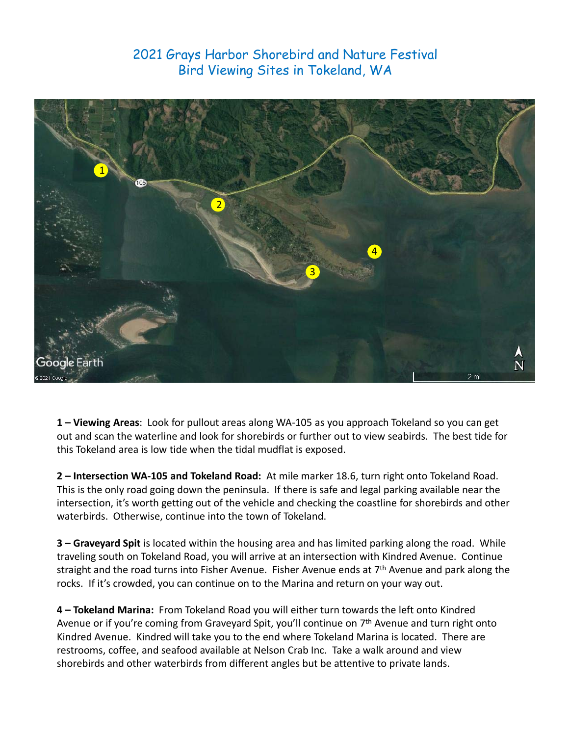## 2021 Grays Harbor Shorebird and Nature Festival Bird Viewing Sites in Tokeland, WA



**1 – Viewing Areas**: Look for pullout areas along WA‐105 as you approach Tokeland so you can get out and scan the waterline and look for shorebirds or further out to view seabirds. The best tide for this Tokeland area is low tide when the tidal mudflat is exposed.

**2 – Intersection WA‐105 and Tokeland Road:** At mile marker 18.6, turn right onto Tokeland Road. This is the only road going down the peninsula. If there is safe and legal parking available near the intersection, it's worth getting out of the vehicle and checking the coastline for shorebirds and other waterbirds. Otherwise, continue into the town of Tokeland.

straight and the road turns into Fisher Avenue. Fisher Avenue ends at 7<sup>th</sup> Avenue and park along the **3 – Graveyard Spit** is located within the housing area and has limited parking along the road. While traveling south on Tokeland Road, you will arrive at an intersection with Kindred Avenue. Continue rocks. If it's crowded, you can continue on to the Marina and return on your way out.

**4 – Tokeland Marina:** From Tokeland Road you will either turn towards the left onto Kindred Avenue or if you're coming from Graveyard Spit, you'll continue on 7<sup>th</sup> Avenue and turn right onto Kindred Avenue. Kindred will take you to the end where Tokeland Marina is located. There are restrooms, coffee, and seafood available at Nelson Crab Inc. Take a walk around and view shorebirds and other waterbirds from different angles but be attentive to private lands.